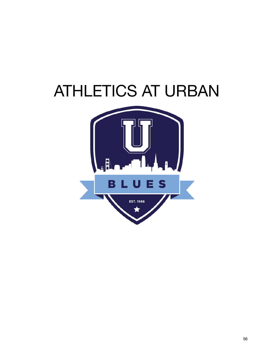# ATHLETICS AT URBAN

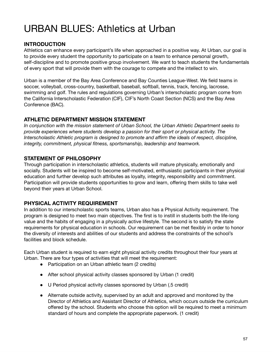# URBAN BLUES: Athletics at Urban

# **INTRODUCTION**

Athletics can enhance every participant's life when approached in a positive way. At Urban, our goal is to provide every student the opportunity to participate on a team to enhance personal growth, self-discipline and to promote positive group involvement. We want to teach students the fundamentals of every sport that will provide them with the courage to compete and the intellect to win.

Urban is a member of the Bay Area Conference and Bay Counties League-West. We field teams in soccer, volleyball, cross-country, basketball, baseball, softball, tennis, track, fencing, lacrosse, swimming and golf. The rules and regulations governing Urban's interscholastic program come from the California Interscholastic Federation (CIF), CIF's North Coast Section (NCS) and the Bay Area Conference (BAC).

# **ATHLETIC DEPARTMENT MISSION STATEMENT**

*In conjunction with the mission statement of Urban School, the Urban Athletic Department seeks to provide experiences where students develop a passion for their sport or physical activity. The Interscholastic Athletic program is designed to promote and affirm the ideals of respect, discipline, integrity, commitment, physical fitness, sportsmanship, leadership and teamwork.*

# **STATEMENT OF PHILOSOPHY**

Through participation in interscholastic athletics, students will mature physically, emotionally and socially. Students will be inspired to become self-motivated, enthusiastic participants in their physical education and further develop such attributes as loyalty, integrity, responsibility and commitment. Participation will provide students opportunities to grow and learn, offering them skills to take well beyond their years at Urban School.

# **PHYSICAL ACTIVITY REQUIREMENT**

In addition to our interscholastic sports teams, Urban also has a Physical Activity requirement. The program is designed to meet two main objectives. The first is to instill in students both the life-long value and the habits of engaging in a physically active lifestyle. The second is to satisfy the state requirements for physical education in schools. Our requirement can be met flexibly in order to honor the diversity of interests and abilities of our students and address the constraints of the school's facilities and block schedule.

Each Urban student is required to earn eight physical activity credits throughout their four years at Urban. There are four types of activities that will meet the requirement:

- Participation on an Urban athletic team (2 credits)
- After school physical activity classes sponsored by Urban (1 credit)
- U Period physical activity classes sponsored by Urban (.5 credit)
- Alternate outside activity, supervised by an adult and approved and monitored by the Director of Athletics and Assistant Director of Athletics, which occurs outside the curriculum offered by the school. Students who choose this option will be required to meet a minimum standard of hours and complete the appropriate paperwork. (1 credit)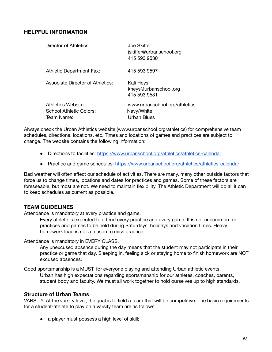#### **HELPFUL INFORMATION**

| Director of Athletics:                                      | Joe Skiffer<br>jskiffer@urbanschool.org<br>415 593 9530    |
|-------------------------------------------------------------|------------------------------------------------------------|
| <b>Athletic Department Fax:</b>                             | 415 593 9597                                               |
| Associate Director of Athletics:                            | Kali Heys<br>kheys@urbanschool.org<br>415 593 9531         |
| Athletics Website:<br>School Athletic Colors:<br>Team Name: | www.urbanschool.org/athletics<br>Navy/White<br>Urban Blues |

Always check the Urban Athletics website (www.urbanschool.org/athletics) for comprehensive team schedules, directions, locations, etc. Times and locations of games and practices are subject to change. The website contains the following information:

- Directions to facilities: <https://www.urbanschool.org/athletics/athletics-calendar>
- Practice and game schedules: <https://www.urbanschool.org/athletics/athletics-calendar>

Bad weather will often affect our schedule of activities. There are many, many other outside factors that force us to change times, locations and dates for practices and games. Some of these factors are foreseeable, but most are not. We need to maintain flexibility. The Athletic Department will do all it can to keep schedules as current as possible.

#### **TEAM GUIDELINES**

Attendance is mandatory at every practice and game.

Every athlete is expected to attend every practice and every game. It is not uncommon for practices and games to be held during Saturdays, holidays and vacation times. Heavy homework load is not a reason to miss practice.

Attendance is mandatory in EVERY CLASS.

Any unexcused absence during the day means that the student may not participate in their practice or game that day. Sleeping in, feeling sick or staying home to finish homework are NOT excused absences.

Good sportsmanship is a MUST, for everyone playing and attending Urban athletic events. Urban has high expectations regarding sportsmanship for our athletes, coaches, parents, student body and faculty. We must all work together to hold ourselves up to high standards.

#### **Structure of Urban Teams**

VARSITY: At the varsity level, the goal is to field a team that will be competitive. The basic requirements for a student-athlete to play on a varsity team are as follows:

• a player must possess a high level of skill;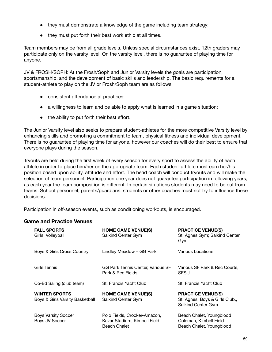- they must demonstrate a knowledge of the game including team strategy;
- they must put forth their best work ethic at all times.

Team members may be from all grade levels. Unless special circumstances exist, 12th graders may participate only on the varsity level. On the varsity level, there is no guarantee of playing time for anyone.

JV & FROSH/SOPH: At the Frosh/Soph and Junior Varsity levels the goals are participation, sportsmanship, and the development of basic skills and leadership. The basic requirements for a student-athlete to play on the JV or Frosh/Soph team are as follows:

- consistent attendance at practices;
- a willingness to learn and be able to apply what is learned in a game situation;
- the ability to put forth their best effort.

The Junior Varsity level also seeks to prepare student-athletes for the more competitive Varsity level by enhancing skills and promoting a commitment to team, physical fitness and individual development. There is no guarantee of playing time for anyone, however our coaches will do their best to ensure that everyone plays during the season.

Tryouts are held during the first week of every season for every sport to assess the ability of each athlete in order to place him/her on the appropriate team. Each student-athlete must earn her/his position based upon ability, attitude and effort. The head coach will conduct tryouts and will make the selection of team personnel. Participation one year does not guarantee participation in following years, as each year the team composition is different. In certain situations students may need to be cut from teams. School personnel, parents/guardians, students or other coaches must not try to influence these decisions.

Participation in off-season events, such as conditioning workouts, is encouraged.

#### **Game and Practice Venues**

| <b>FALL SPORTS</b><br>Girls Volleyball                  | <b>HOME GAME VENUE(S)</b><br>Salkind Center Gym                                     | <b>PRACTICE VENUE(S)</b><br>St. Agnes Gym; Salkind Center<br>Gym                 |
|---------------------------------------------------------|-------------------------------------------------------------------------------------|----------------------------------------------------------------------------------|
| Boys & Girls Cross Country                              | Lindley Meadow – GG Park                                                            | Various Locations                                                                |
| Girls Tennis                                            | GG Park Tennis Center, Various SF<br>Park & Rec Fields                              | Various SF Park & Rec Courts.<br><b>SFSU</b>                                     |
| Co-Ed Sailng (club team)                                | St. Francis Yacht Club                                                              | St. Francis Yacht Club                                                           |
| <b>WINTER SPORTS</b><br>Boys & Girls Varsity Basketball | <b>HOME GAME VENUE(S)</b><br>Salkind Center Gym                                     | <b>PRACTICE VENUE(S)</b><br>St. Agnes, Boys & Girls Club,,<br>Salkind Center Gym |
| <b>Boys Varsity Soccer</b><br>Boys JV Soccer            | Polo Fields, Crocker-Amazon,<br>Kezar Stadium, Kimbell Field<br><b>Beach Chalet</b> | Beach Chalet, Youngblood<br>Coleman, Kimbell Field<br>Beach Chalet, Youngblood   |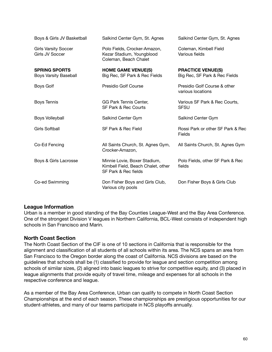| Boys & Girls JV Basketball                           | Salkind Center Gym, St. Agnes                                                              | Salkind Center Gym, St. Agnes                             |
|------------------------------------------------------|--------------------------------------------------------------------------------------------|-----------------------------------------------------------|
| <b>Girls Varsity Soccer</b><br>Girls JV Soccer       | Polo Fields, Crocker-Amazon,<br>Kezar Stadium, Youngblood<br>Coleman, Beach Chalet         | Coleman, Kimbell Field<br>Various fields                  |
| <b>SPRING SPORTS</b><br><b>Boys Varsity Baseball</b> | <b>HOME GAME VENUE(S)</b><br>Big Rec, SF Park & Rec Fields                                 | <b>PRACTICE VENUE(S)</b><br>Big Rec, SF Park & Rec Fields |
| <b>Boys Golf</b>                                     | Presidio Golf Course                                                                       | Presidio Golf Course & other<br>various locations         |
| <b>Boys Tennis</b>                                   | GG Park Tennis Center,<br><b>SF Park &amp; Rec Courts</b>                                  | Various SF Park & Rec Courts,<br><b>SFSU</b>              |
| Boys Volleyball                                      | Salkind Center Gym                                                                         | Salkind Center Gym                                        |
| Girls Softball                                       | SF Park & Rec Field                                                                        | Rossi Park or other SF Park & Rec<br><b>Fields</b>        |
| Co-Ed Fencing                                        | All Saints Church, St. Agnes Gym,<br>Crocker-Amazon,                                       | All Saints Church, St. Agnes Gym                          |
| Boys & Girls Lacrosse                                | Minnie Lovie, Boxer Stadium,<br>Kimbell Field, Beach Chalet, other<br>SF Park & Rec fields | Polo Fields, other SF Park & Rec<br>fields                |
| Co-ed Swimming                                       | Don Fisher Boys and Girls Club,<br>Various city pools                                      | Don Fisher Boys & Girls Club                              |

#### **League Information**

Urban is a member in good standing of the Bay Counties League-West and the Bay Area Conference. One of the strongest Division V leagues in Northern California, BCL-West consists of independent high schools in San Francisco and Marin.

#### **North Coast Section**

The North Coast Section of the CIF is one of 10 sections in California that is responsible for the alignment and classification of all students of all schools within its area. The NCS spans an area from San Francisco to the Oregon border along the coast of California. NCS divisions are based on the guidelines that schools shall be (1) classified to provide for league and section competition among schools of similar sizes, (2) aligned into basic leagues to strive for competitive equity, and (3) placed in league alignments that provide equity of travel time, mileage and expenses for all schools in the respective conference and league.

As a member of the Bay Area Conference, Urban can qualify to compete in North Coast Section Championships at the end of each season. These championships are prestigious opportunities for our student-athletes, and many of our teams participate in NCS playoffs annually.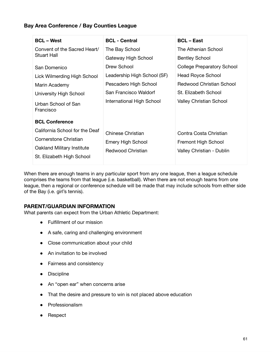### **Bay Area Conference / Bay Counties League**

| <b>BCL</b> – West                | <b>BCL - Central</b>        | <b>BCL – East</b>                 |
|----------------------------------|-----------------------------|-----------------------------------|
| Convent of the Sacred Heart/     | The Bay School              | The Athenian School               |
| <b>Stuart Hall</b>               | Gateway High School         | <b>Bentley School</b>             |
| San Domenico                     | Drew School                 | <b>College Preparatory School</b> |
| Lick Wilmerding High School      | Leadership High School (SF) | Head Royce School                 |
| Marin Academy                    | Pescadero High School       | Redwood Christian School          |
| University High School           | San Francisco Waldorf       | St. Elizabeth School              |
| Urban School of San<br>Francisco | International High School   | <b>Valley Christian School</b>    |
| <b>BCL Conference</b>            |                             |                                   |
| California School for the Deaf   | Chinese Christian           | Contra Costa Christian            |
| Cornerstone Christian            | <b>Emery High School</b>    | Fremont High School               |
| Oakland Military Institute       | Redwood Christian           | Valley Christian - Dublin         |
| St. Elizabeth High School        |                             |                                   |
|                                  |                             |                                   |

When there are enough teams in any particular sport from any one league, then a league schedule comprises the teams from that league (i.e. basketball). When there are not enough teams from one league, then a regional or conference schedule will be made that may include schools from either side of the Bay (i.e. girl's tennis).

#### **PARENT/GUARDIAN INFORMATION**

What parents can expect from the Urban Athletic Department:

- Fulfillment of our mission
- A safe, caring and challenging environment
- Close communication about your child
- An invitation to be involved
- Fairness and consistency
- Discipline
- An "open ear" when concerns arise
- That the desire and pressure to win is not placed above education
- Professionalism
- Respect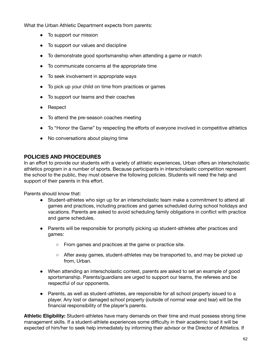What the Urban Athletic Department expects from parents:

- To support our mission
- To support our values and discipline
- To demonstrate good sportsmanship when attending a game or match
- To communicate concerns at the appropriate time
- To seek involvement in appropriate ways
- To pick up your child on time from practices or games
- To support our teams and their coaches
- Respect
- To attend the pre-season coaches meeting
- To "Honor the Game" by respecting the efforts of everyone involved in competitive athletics
- No conversations about playing time

#### **POLICIES AND PROCEDURES**

In an effort to provide our students with a variety of athletic experiences, Urban offers an interscholastic athletics program in a number of sports. Because participants in interscholastic competition represent the school to the public, they must observe the following policies. Students will need the help and support of their parents in this effort.

Parents should know that:

- Student-athletes who sign up for an interscholastic team make a commitment to attend all games and practices, including practices and games scheduled during school holidays and vacations. Parents are asked to avoid scheduling family obligations in conflict with practice and game schedules.
- Parents will be responsible for promptly picking up student-athletes after practices and games:
	- From games and practices at the game or practice site.
	- After away games, student-athletes may be transported to, and may be picked up from, Urban.
- When attending an interscholastic contest, parents are asked to set an example of good sportsmanship. Parents/guardians are urged to support our teams, the referees and be respectful of our opponents.
- Parents, as well as student-athletes, are responsible for all school property issued to a player. Any lost or damaged school property (outside of normal wear and tear) will be the financial responsibility of the player's parents.

**Athletic Eligibility:** Student-athletes have many demands on their time and must possess strong time management skills. If a student-athlete experiences some difficulty in their academic load it will be expected of him/her to seek help immediately by informing their advisor or the Director of Athletics*.* If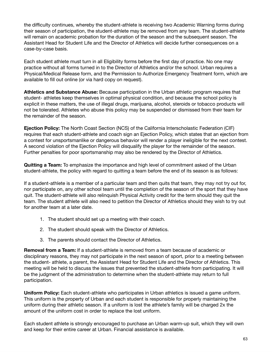the difficulty continues, whereby the student-athlete is receiving two Academic Warning forms during their season of participation, the student-athlete may be removed from any team. The student-athlete will remain on academic probation for the duration of the season and the subsequent season. The Assistant Head for Student Life and the Director of Athletics will decide further consequences on a case-by-case basis.

Each student athlete must turn in all Eligibility forms before the first day of practice. No one may practice without all forms turned in to the Director of Athletics and/or the school. Urban requires a Physical/Medical Release form, and the Permission to Authorize Emergency Treatment form, which are available to fill out online (or via hard copy on request).

**Athletics and Substance Abuse:** Because participation in the Urban athletic program requires that student- athletes keep themselves in optimal physical condition, and because the school policy is explicit in these matters, the use of illegal drugs, marijuana, alcohol, steroids or tobacco products will not be tolerated. Athletes who abuse this policy may be suspended or dismissed from their team for the remainder of the season.

**Ejection Policy:** The North Coast Section (NCS) of the California Interscholastic Federation (CIF) requires that each student-athlete and coach sign an Ejection Policy, which states that an ejection from a contest for unsportsmanlike or dangerous behavior will render a player ineligible for the next contest. A second violation of the Ejection Policy will disqualify the player for the remainder of the season. Further penalties for poor sportsmanship may also be rendered by the Director of Athletics.

**Quitting a Team:** To emphasize the importance and high level of commitment asked of the Urban student-athlete, the policy with regard to quitting a team before the end of its season is as follows:

If a student-athlete is a member of a particular team and then quits that team, they may not try out for, nor participate on, any other school team until the completion of the season of the sport that they have quit. The student-athlete will also relinquish Physical Activity credit for the term should they quit the team. The student athlete will also need to petition the Director of Athletics should they wish to try out for another team at a later date.

- 1. The student should set up a meeting with their coach.
- 2. The student should speak with the Director of Athletics.
- 3. The parents should contact the Director of Athletics.

**Removal from a Team:** If a student-athlete is removed from a team because of academic or disciplinary reasons, they may not participate in the next season of sport, prior to a meeting between the student- athlete, a parent, the Assistant Head for Student Life and the Director of Athletics. This meeting will be held to discuss the issues that prevented the student-athlete from participating. It will be the judgment of the administration to determine when the student-athlete may return to full participation.

**Uniform Policy:** Each student-athlete who participates in Urban athletics is issued a game uniform. This uniform is the property of Urban and each student is responsible for properly maintaining the uniform during their athletic season. If a uniform is lost the athlete's family will be charged 2x the amount of the uniform cost in order to replace the lost uniform.

Each student athlete is strongly encouraged to purchase an Urban warm-up suit, which they will own and keep for their entire career at Urban. Financial assistance is available.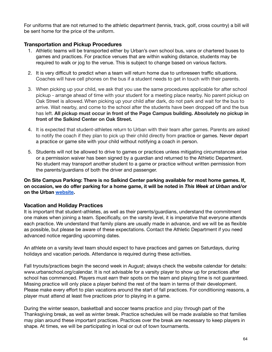For uniforms that are not returned to the athletic department (tennis, track, golf, cross country) a bill will be sent home for the price of the uniform.

#### **Transportation and Pickup Procedures**

- 1. Athletic teams will be transported either by Urban's own school bus, vans or chartered buses to games and practices. For practice venues that are within walking distance, students may be required to walk or jog to the venue. This is subject to change based on various factors.
- 2. It is very difficult to predict when a team will return home due to unforeseen traffic situations. Coaches will have cell phones on the bus if a student needs to get in touch with their parents.
- 3. When picking up your child, we ask that you use the same procedures applicable for after school pickup - arrange ahead of time with your student for a meeting place nearby. No parent pickup on Oak Street is allowed.When picking up your child after dark, do not park and wait for the bus to arrive. Wait nearby, and come to the school after the students have been dropped off and the bus has left. **All pickup must occur in front of the Page Campus building. Absolutely no pickup in front of the Salkind Center on Oak Street.**
- 4. It is expected that student-athletes return to Urban with their team after games. Parents are asked to notify the coach if they plan to pick up their child directly from practice or games. Never depart a practice or game site with your child without notifying a coach in person.
- 5. Students will not be allowed to drive to games or practices unless mitigating circumstances arise or a permission waiver has been signed by a guardian and returned to the Athletic Department. No student may transport another student to a game or practice without written permission from the parents/guardians of both the driver and passenger.

**On Site Campus Parking: There is no Salkind Center parking available for most home games. If,** on occasion, we do offer parking for a home game, it will be noted in This Week at Urban and/or **on the Urban [website.](https://www.urbanschool.org/athletics/athletics-calendar)**

#### **Vacation and Holiday Practices**

It is important that student-athletes, as well as their parents/guardians, understand the commitment one makes when joining a team. Specifically, on the varsity level, it is imperative that everyone attends each practice. We understand that family plans are usually made in advance, and we will be as flexible as possible, but please be aware of these expectations. Contact the Athletic Department if you need advanced notice regarding upcoming dates.

An athlete on a varsity level team should expect to have practices and games on Saturdays, during holidays and vacation periods. Attendance is required during these activities.

Fall tryouts/practices begin the second week in August; always check the website calendar for details: www.urbanschool.org/calendar. It is not advisable for a varsity player to show up for practices after school has commenced. Players must earn their spots on the team and playing time is not guaranteed. Missing practice will only place a player behind the rest of the team in terms of their development. Please make every effort to plan vacations around the start of fall practices. For conditioning reasons, a player must attend at least five practices prior to playing in a game.

During the winter season, basketball and soccer teams practice and play through part of the Thanksgiving break, as well as winter break. Practice schedules will be made available so that families may plan around these important practices. Practices over the break are necessary to keep players in shape. At times, we will be participating in local or out of town tournaments.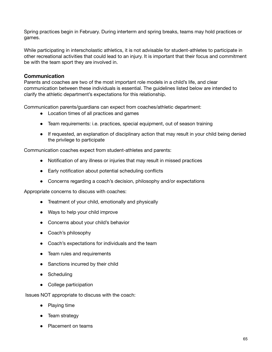Spring practices begin in February. During interterm and spring breaks, teams may hold practices or games.

While participating in interscholastic athletics, it is not advisable for student-athletes to participate in other recreational activities that could lead to an injury. It is important that their focus and commitment be with the team sport they are involved in.

#### **Communication**

Parents and coaches are two of the most important role models in a child's life, and clear communication between these individuals is essential. The guidelines listed below are intended to clarify the athletic department's expectations for this relationship.

Communication parents/guardians can expect from coaches/athletic department:

- Location times of all practices and games
- Team requirements: i.e. practices, special equipment, out of season training
- If requested, an explanation of disciplinary action that may result in your child being denied the privilege to participate

Communication coaches expect from student-athletes and parents:

- Notification of any illness or injuries that may result in missed practices
- Early notification about potential scheduling conflicts
- Concerns regarding a coach's decision, philosophy and/or expectations

Appropriate concerns to discuss with coaches:

- Treatment of your child, emotionally and physically
- Ways to help your child improve
- Concerns about your child's behavior
- Coach's philosophy
- Coach's expectations for individuals and the team
- Team rules and requirements
- Sanctions incurred by their child
- Scheduling
- College participation

Issues NOT appropriate to discuss with the coach:

- Playing time
- Team strategy
- Placement on teams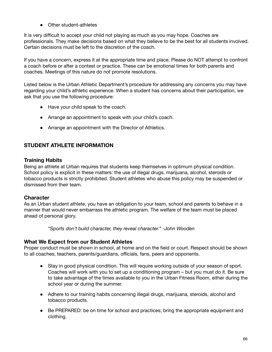● Other student-athletes

It is very difficult to accept your child not playing as much as you may hope. Coaches are professionals. They make decisions based on what they believe to be the best for all students involved. Certain decisions must be left to the discretion of the coach.

If you have a concern, express it at the appropriate time and place. Please do NOT attempt to confront a coach before or after a contest or practice. These can be emotional times for both parents and coaches. Meetings of this nature do not promote resolutions.

Listed below is the Urban Athletic Department's procedure for addressing any concerns you may have regarding your child's athletic experience. When a student has concerns about their participation, we ask that you use the following procedure:

- Have your child speak to the coach.
- Arrange an appointment to speak with your child's coach.
- Arrange an appointment with the Director of Athletics.

#### **STUDENT ATHLETE INFORMATION**

#### **Training Habits**

Being an athlete at Urban requires that students keep themselves in optimum physical condition. School policy is explicit in these matters: the use of illegal drugs, marijuana, alcohol, steroids or tobacco products is strictly prohibited. Student athletes who abuse this policy may be suspended or dismissed from their team.

#### **Character**

As an Urban student athlete, you have an obligation to your team, school and parents to behave in a manner that would never embarrass the athletic program. The welfare of the team must be placed ahead of personal glory.

*"Sports don't build character, they reveal character." -John Wooden*

#### **What We Expect from our Student Athletes**

Proper conduct must be shown in school, at home and on the field or court. Respect should be shown to all coaches, teachers, parents/guardians, officials, fans, peers and opponents.

- Stay in good physical condition. This will require working outside of your season of sport. Coaches will work with you to set up a conditioning program – but you must do it. Be sure to take advantage of the times available to you in the Urban Fitness Room, either during the school year or during the summer.
- Adhere to our training habits concerning illegal drugs, marijuana, steroids, alcohol and tobacco products.
- Be PREPARED: be on time for school and practices; bring the appropriate equipment and clothing.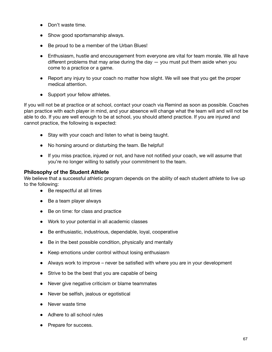- Don't waste time.
- Show good sportsmanship always.
- Be proud to be a member of the Urban Blues!
- Enthusiasm, hustle and encouragement from everyone are vital for team morale. We all have different problems that may arise during the day  $-$  you must put them aside when you come to a practice or a game.
- Report any injury to your coach no matter how slight. We will see that you get the proper medical attention.
- Support your fellow athletes.

If you will not be at practice or at school, contact your coach via Remind as soon as possible. Coaches plan practice with each player in mind, and your absence will change what the team will and will not be able to do. If you are well enough to be at school, you should attend practice. If you are injured and cannot practice, the following is expected:

- Stay with your coach and listen to what is being taught.
- No horsing around or disturbing the team. Be helpful!
- If you miss practice, injured or not, and have not notified your coach, we will assume that you're no longer willing to satisfy your commitment to the team.

#### **Philosophy of the Student Athlete**

We believe that a successful athletic program depends on the ability of each student athlete to live up to the following:

- Be respectful at all times
- Be a team player always
- Be on time: for class and practice
- Work to your potential in all academic classes
- Be enthusiastic, industrious, dependable, loyal, cooperative
- Be in the best possible condition, physically and mentally
- Keep emotions under control without losing enthusiasm
- Always work to improve never be satisfied with where you are in your development
- Strive to be the best that you are capable of being
- Never give negative criticism or blame teammates
- Never be selfish, jealous or egotistical
- Never waste time
- Adhere to all school rules
- Prepare for success.